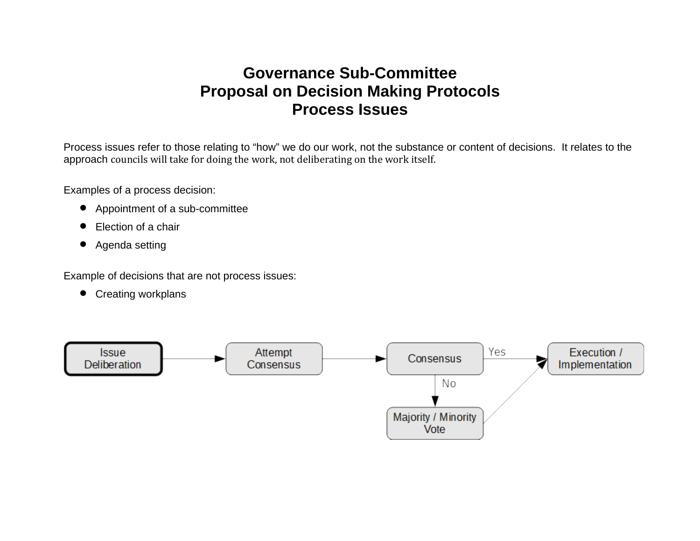## **Governance Sub-Committee Proposal on Decision Making Protocols Process Issues**

Process issues refer to those relating to "how" we do our work, not the substance or content of decisions. It relates to the approach councils will take for doing the work, not deliberating on the work itself.

Examples of a process decision:

- Appointment of a sub-committee
- Election of a chair
- Agenda setting

Example of decisions that are not process issues:

• Creating workplans